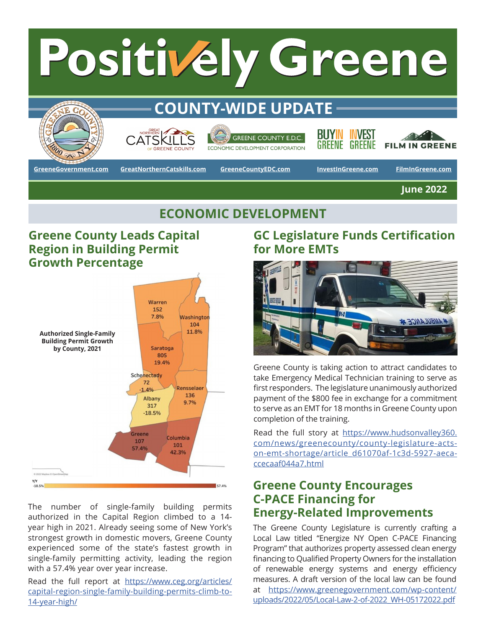## Positively Greene **COUNTY-WIDE UPDATE** BUYIN **INVEST GREENE COUNTY E.D.C.** GREENE GREENE **FILM IN GREENE ECONOMIC DEVELOPMENT CORPORATION**

**[GreeneGovernment.com](https://www.greenegovernment.com/) [GreatNorthernCatskills.com](https://www.greatnortherncatskills.com/) [InvestInGreene.com](https://www.buyingreene.com/invest-in-greene) [FilmInGreene.com](https://www.greatnortherncatskills.com/film)**

**[GreeneCountyEDC.com](http://GreeneCountyEDC.com)**

**June 2022**

# **ECONOMIC DEVELOPMENT**

### **Greene County Leads Capital Region in Building Permit Growth Percentage**



The number of single-family building permits authorized in the Capital Region climbed to a 14 year high in 2021. Already seeing some of New York's strongest growth in domestic movers, Greene County experienced some of the state's fastest growth in single-family permitting activity, leading the region with a 57.4% year over year increase.

Read the full report at [https://www.ceg.org/articles/](https://www.ceg.org/articles/capital-region-single-family-building-permits-climb-to-14-year-high/) [capital-region-single-family-building-permits-climb-to-](https://www.ceg.org/articles/capital-region-single-family-building-permits-climb-to-14-year-high/)[14-year-high/](https://www.ceg.org/articles/capital-region-single-family-building-permits-climb-to-14-year-high/)

## **GC Legislature Funds Certification for More EMTs**



Greene County is taking action to attract candidates to take Emergency Medical Technician training to serve as first responders. The legislature unanimously authorized payment of the \$800 fee in exchange for a commitment to serve as an EMT for 18 months in Greene County upon completion of the training.

Read the full story at [https://www.hudsonvalley360.](https://www.hudsonvalley360.com/news/greenecounty/county-legislature-acts-on-emt-shortage/article_d61070af-1c3d-5927-aeca-ccecaaf044a7.html) [com/news/greenecounty/county-legislature-acts](https://www.hudsonvalley360.com/news/greenecounty/county-legislature-acts-on-emt-shortage/article_d61070af-1c3d-5927-aeca-ccecaaf044a7.html)[on-emt-shortage/article\\_d61070af-1c3d-5927-aeca](https://www.hudsonvalley360.com/news/greenecounty/county-legislature-acts-on-emt-shortage/article_d61070af-1c3d-5927-aeca-ccecaaf044a7.html)[ccecaaf044a7.html](https://www.hudsonvalley360.com/news/greenecounty/county-legislature-acts-on-emt-shortage/article_d61070af-1c3d-5927-aeca-ccecaaf044a7.html)

#### **Greene County Encourages C-PACE Financing for Energy-Related Improvements**

The Greene County Legislature is currently crafting a Local Law titled "Energize NY Open C-PACE Financing Program" that authorizes property assessed clean energy financing to Qualified Property Owners for the installation of renewable energy systems and energy efficiency measures. A draft version of the local law can be found at [https://www.greenegovernment.com/wp-content/](https://www.greenegovernment.com/wp-content/uploads/2022/05/Local-Law-2-of-2022_WH-05172022.pdf) [uploads/2022/05/Local-Law-2-of-2022\\_WH-05172022.pdf](https://www.greenegovernment.com/wp-content/uploads/2022/05/Local-Law-2-of-2022_WH-05172022.pdf)